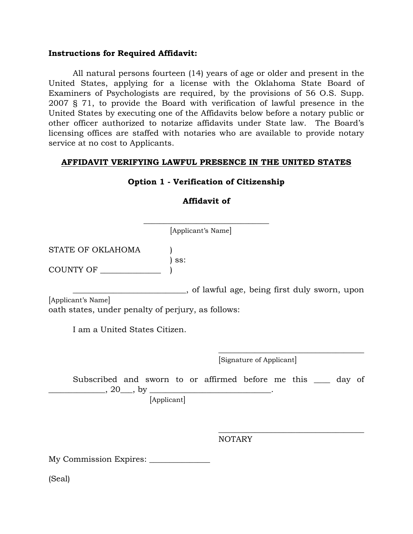#### **Instructions for Required Affidavit:**

All natural persons fourteen (14) years of age or older and present in the United States, applying for a license with the Oklahoma State Board of Examiners of Psychologists are required, by the provisions of 56 O.S. Supp. 2007 § 71, to provide the Board with verification of lawful presence in the United States by executing one of the Affidavits below before a notary public or other officer authorized to notarize affidavits under State law. The Board's licensing offices are staffed with notaries who are available to provide notary service at no cost to Applicants.

#### **AFFIDAVIT VERIFYING LAWFUL PRESENCE IN THE UNITED STATES**

# **Option 1 - Verification of Citizenship**

## **Affidavit of**

**\_\_\_\_\_\_\_\_\_\_\_\_\_\_\_\_\_\_\_\_\_\_\_\_\_\_\_\_\_\_\_**  [Applicant's Name]

STATE OF OKLAHOMA

 ) ss: COUNTY OF

\_\_\_\_\_\_\_\_\_\_\_\_\_\_\_\_\_\_\_\_\_\_\_\_\_\_\_\_, of lawful age, being first duly sworn, upon [Applicant's Name] oath states, under penalty of perjury, as follows:

I am a United States Citizen.

[Signature of Applicant]

Subscribed and sworn to or affirmed before me this \_\_\_\_ day of  $20, \text{ by }$ 

 $\overline{\phantom{a}}$  , which is a set of the set of the set of the set of the set of the set of the set of the set of the set of the set of the set of the set of the set of the set of the set of the set of the set of the set of th

 $\overline{\phantom{a}}$  , which is a set of the set of the set of the set of the set of the set of the set of the set of the set of the set of the set of the set of the set of the set of the set of the set of the set of the set of th

[Applicant]

NOTARY

My Commission Expires: \_\_\_\_\_\_\_\_\_\_\_\_\_\_\_

(Seal)